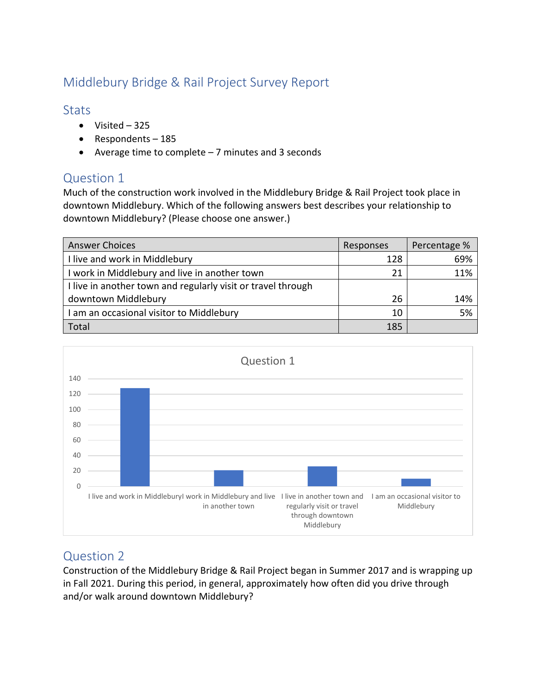# Middlebury Bridge & Rail Project Survey Report

## **Stats**

- Visited 325
- Respondents 185
- Average time to complete 7 minutes and 3 seconds

# Question 1

Much of the construction work involved in the Middlebury Bridge & Rail Project took place in downtown Middlebury. Which of the following answers best describes your relationship to downtown Middlebury? (Please choose one answer.)

| <b>Answer Choices</b>                                        | Responses | Percentage % |
|--------------------------------------------------------------|-----------|--------------|
| I live and work in Middlebury                                | 128       | 69%          |
| I work in Middlebury and live in another town                | 21        | 11%          |
| I live in another town and regularly visit or travel through |           |              |
| downtown Middlebury                                          | 26        | 14%          |
| I am an occasional visitor to Middlebury                     | 10        | 5%           |
| Total                                                        | 185       |              |



# Question 2

Construction of the Middlebury Bridge & Rail Project began in Summer 2017 and is wrapping up in Fall 2021. During this period, in general, approximately how often did you drive through and/or walk around downtown Middlebury?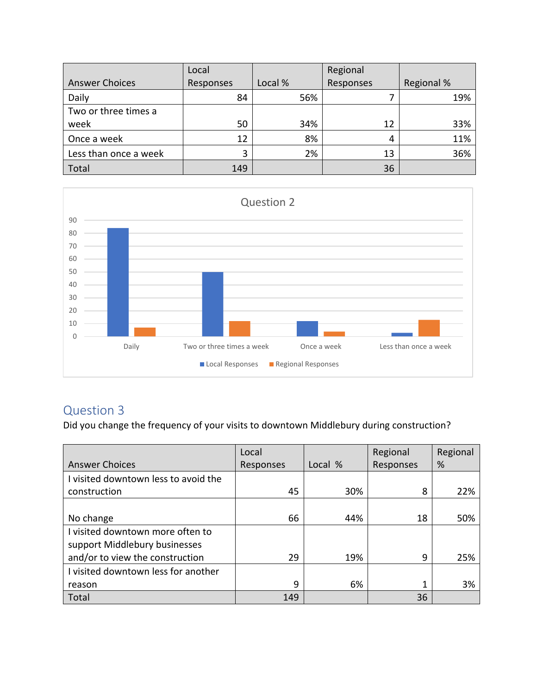|                       | Local     |         | Regional  |            |
|-----------------------|-----------|---------|-----------|------------|
| <b>Answer Choices</b> | Responses | Local % | Responses | Regional % |
| Daily                 | 84        | 56%     |           | 19%        |
| Two or three times a  |           |         |           |            |
| week                  | 50        | 34%     | 12        | 33%        |
| Once a week           | 12        | 8%      |           | 11%        |
| Less than once a week | 3         | 2%      | 13        | 36%        |
| Total                 | 149       |         | 36        |            |



# Question 3

Did you change the frequency of your visits to downtown Middlebury during construction?

|                                      | Local     |         | Regional  | Regional |
|--------------------------------------|-----------|---------|-----------|----------|
| <b>Answer Choices</b>                | Responses | Local % | Responses | %        |
| I visited downtown less to avoid the |           |         |           |          |
| construction                         | 45        | 30%     | 8         | 22%      |
|                                      |           |         |           |          |
| No change                            | 66        | 44%     | 18        | 50%      |
| I visited downtown more often to     |           |         |           |          |
| support Middlebury businesses        |           |         |           |          |
| and/or to view the construction      | 29        | 19%     | 9         | 25%      |
| I visited downtown less for another  |           |         |           |          |
| reason                               | 9         | 6%      |           | 3%       |
| Total                                | 149       |         | 36        |          |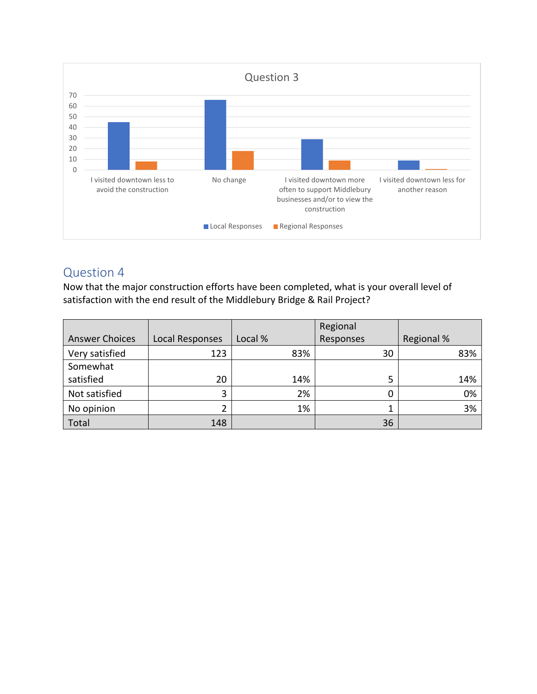

### Question 4

Now that the major construction efforts have been completed, what is your overall level of satisfaction with the end result of the Middlebury Bridge & Rail Project?

|                       |                 |         | Regional  |            |
|-----------------------|-----------------|---------|-----------|------------|
| <b>Answer Choices</b> | Local Responses | Local % | Responses | Regional % |
| Very satisfied        | 123             | 83%     | 30        | 83%        |
| Somewhat              |                 |         |           |            |
| satisfied             | 20              | 14%     | 5         | 14%        |
| Not satisfied         | 3               | 2%      |           | 0%         |
| No opinion            |                 | 1%      |           | 3%         |
| Total                 | 148             |         | 36        |            |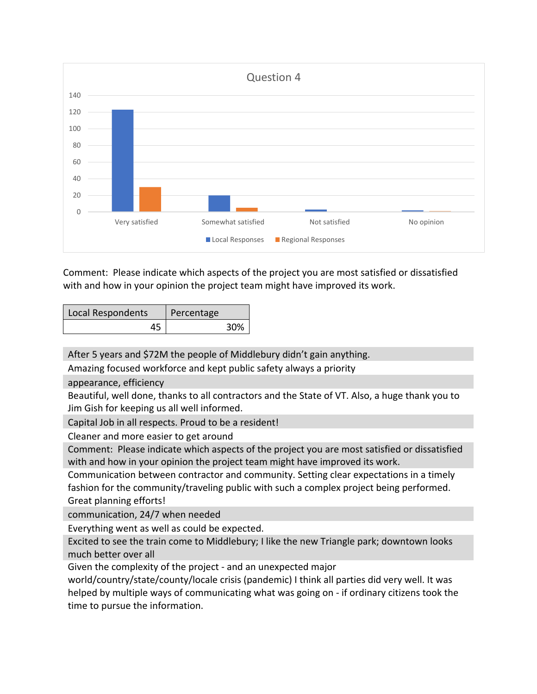

Comment: Please indicate which aspects of the project you are most satisfied or dissatisfied with and how in your opinion the project team might have improved its work.

| Local Respondents | Percentage |     |
|-------------------|------------|-----|
| 45                |            | 30% |

After 5 years and \$72M the people of Middlebury didn't gain anything.

Amazing focused workforce and kept public safety always a priority

appearance, efficiency

Beautiful, well done, thanks to all contractors and the State of VT. Also, a huge thank you to Jim Gish for keeping us all well informed.

Capital Job in all respects. Proud to be a resident!

Cleaner and more easier to get around

Comment: Please indicate which aspects of the project you are most satisfied or dissatisfied with and how in your opinion the project team might have improved its work.

Communication between contractor and community. Setting clear expectations in a timely fashion for the community/traveling public with such a complex project being performed. Great planning efforts!

communication, 24/7 when needed

Everything went as well as could be expected.

Excited to see the train come to Middlebury; I like the new Triangle park; downtown looks much better over all

Given the complexity of the project - and an unexpected major

world/country/state/county/locale crisis (pandemic) I think all parties did very well. It was helped by multiple ways of communicating what was going on - if ordinary citizens took the time to pursue the information.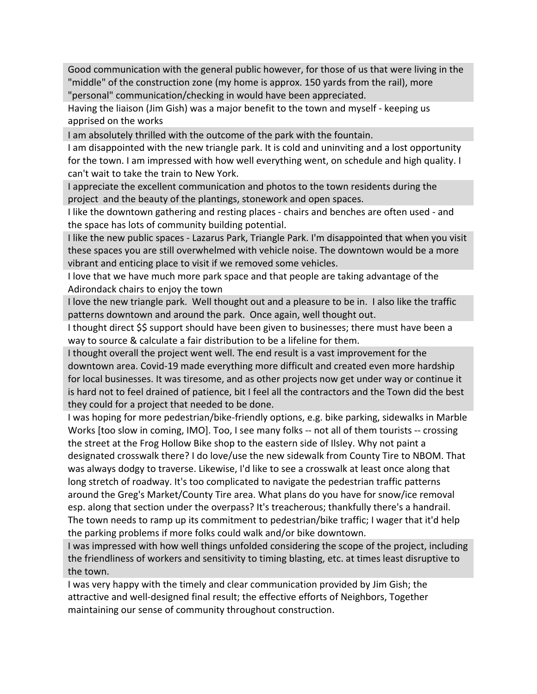Good communication with the general public however, for those of us that were living in the "middle" of the construction zone (my home is approx. 150 yards from the rail), more "personal" communication/checking in would have been appreciated.

Having the liaison (Jim Gish) was a major benefit to the town and myself - keeping us apprised on the works

I am absolutely thrilled with the outcome of the park with the fountain.

I am disappointed with the new triangle park. It is cold and uninviting and a lost opportunity for the town. I am impressed with how well everything went, on schedule and high quality. I can't wait to take the train to New York.

I appreciate the excellent communication and photos to the town residents during the project and the beauty of the plantings, stonework and open spaces.

I like the downtown gathering and resting places - chairs and benches are often used - and the space has lots of community building potential.

I like the new public spaces - Lazarus Park, Triangle Park. I'm disappointed that when you visit these spaces you are still overwhelmed with vehicle noise. The downtown would be a more vibrant and enticing place to visit if we removed some vehicles.

I love that we have much more park space and that people are taking advantage of the Adirondack chairs to enjoy the town

I love the new triangle park. Well thought out and a pleasure to be in. I also like the traffic patterns downtown and around the park. Once again, well thought out.

I thought direct \$\$ support should have been given to businesses; there must have been a way to source & calculate a fair distribution to be a lifeline for them.

I thought overall the project went well. The end result is a vast improvement for the downtown area. Covid-19 made everything more difficult and created even more hardship for local businesses. It was tiresome, and as other projects now get under way or continue it is hard not to feel drained of patience, bit I feel all the contractors and the Town did the best they could for a project that needed to be done.

I was hoping for more pedestrian/bike-friendly options, e.g. bike parking, sidewalks in Marble Works [too slow in coming, IMO]. Too, I see many folks -- not all of them tourists -- crossing the street at the Frog Hollow Bike shop to the eastern side of Ilsley. Why not paint a designated crosswalk there? I do love/use the new sidewalk from County Tire to NBOM. That was always dodgy to traverse. Likewise, I'd like to see a crosswalk at least once along that long stretch of roadway. It's too complicated to navigate the pedestrian traffic patterns around the Greg's Market/County Tire area. What plans do you have for snow/ice removal esp. along that section under the overpass? It's treacherous; thankfully there's a handrail. The town needs to ramp up its commitment to pedestrian/bike traffic; I wager that it'd help the parking problems if more folks could walk and/or bike downtown.

I was impressed with how well things unfolded considering the scope of the project, including the friendliness of workers and sensitivity to timing blasting, etc. at times least disruptive to the town.

I was very happy with the timely and clear communication provided by Jim Gish; the attractive and well-designed final result; the effective efforts of Neighbors, Together maintaining our sense of community throughout construction.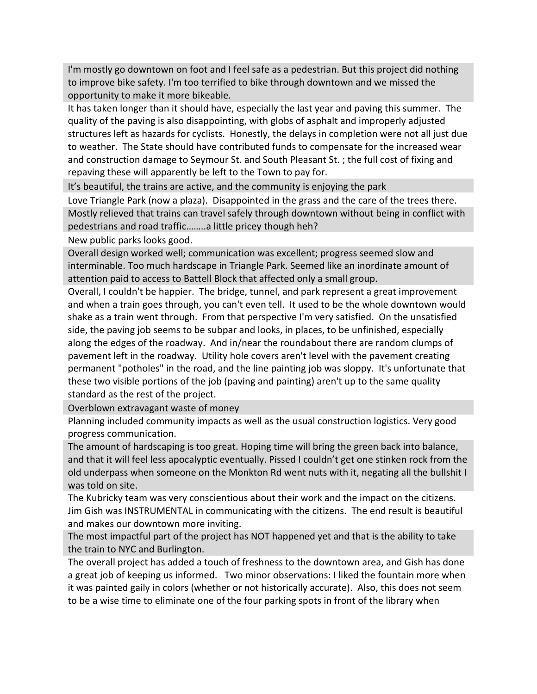I'm mostly go downtown on foot and I feel safe as a pedestrian. But this project did nothing to improve bike safety. I'm too terrified to bike through downtown and we missed the opportunity to make it more bikeable.

It has taken longer than it should have, especially the last year and paving this summer. The quality of the paving is also disappointing, with globs of asphalt and improperly adjusted structures left as hazards for cyclists. Honestly, the delays in completion were not all just due to weather. The State should have contributed funds to compensate for the increased wear and construction damage to Seymour St. and South Pleasant St. ; the full cost of fixing and repaving these will apparently be left to the Town to pay for.

It's beautiful, the trains are active, and the community is enjoying the park

Love Triangle Park (now a plaza). Disappointed in the grass and the care of the trees there. Mostly relieved that trains can travel safely through downtown without being in conflict with pedestrians and road traffic……..a little pricey though heh?

New public parks looks good.

Overall design worked well; communication was excellent; progress seemed slow and interminable. Too much hardscape in Triangle Park. Seemed like an inordinate amount of attention paid to access to Battell Block that affected only a small group.

Overall, I couldn't be happier. The bridge, tunnel, and park represent a great improvement and when a train goes through, you can't even tell. It used to be the whole downtown would shake as a train went through. From that perspective I'm very satisfied. On the unsatisfied side, the paving job seems to be subpar and looks, in places, to be unfinished, especially along the edges of the roadway. And in/near the roundabout there are random clumps of pavement left in the roadway. Utility hole covers aren't level with the pavement creating permanent "potholes" in the road, and the line painting job was sloppy. It's unfortunate that these two visible portions of the job (paving and painting) aren't up to the same quality standard as the rest of the project.

Overblown extravagant waste of money

Planning included community impacts as well as the usual construction logistics. Very good progress communication.

The amount of hardscaping is too great. Hoping time will bring the green back into balance, and that it will feel less apocalyptic eventually. Pissed I couldn't get one stinken rock from the old underpass when someone on the Monkton Rd went nuts with it, negating all the bullshit I was told on site.

The Kubricky team was very conscientious about their work and the impact on the citizens. Jim Gish was INSTRUMENTAL in communicating with the citizens. The end result is beautiful and makes our downtown more inviting.

The most impactful part of the project has NOT happened yet and that is the ability to take the train to NYC and Burlington.

The overall project has added a touch of freshness to the downtown area, and Gish has done a great job of keeping us informed. Two minor observations: I liked the fountain more when it was painted gaily in colors (whether or not historically accurate). Also, this does not seem to be a wise time to eliminate one of the four parking spots in front of the library when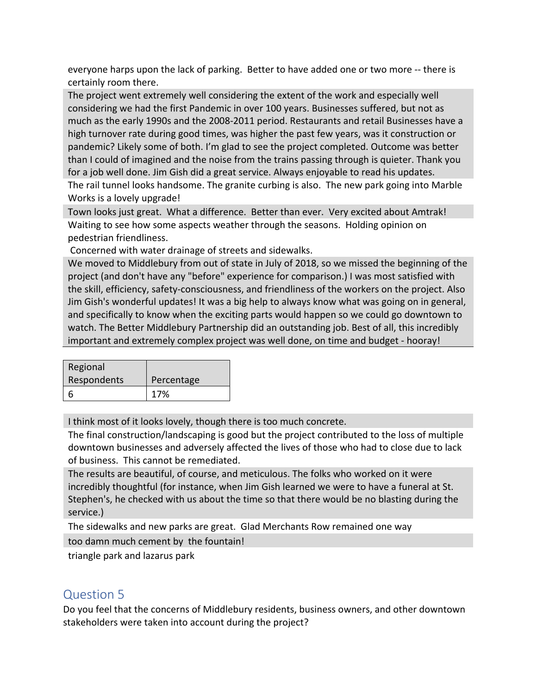everyone harps upon the lack of parking. Better to have added one or two more -- there is certainly room there.

The project went extremely well considering the extent of the work and especially well considering we had the first Pandemic in over 100 years. Businesses suffered, but not as much as the early 1990s and the 2008-2011 period. Restaurants and retail Businesses have a high turnover rate during good times, was higher the past few years, was it construction or pandemic? Likely some of both. I'm glad to see the project completed. Outcome was better than I could of imagined and the noise from the trains passing through is quieter. Thank you for a job well done. Jim Gish did a great service. Always enjoyable to read his updates. The rail tunnel looks handsome. The granite curbing is also. The new park going into Marble

Works is a lovely upgrade!

Town looks just great. What a difference. Better than ever. Very excited about Amtrak! Waiting to see how some aspects weather through the seasons. Holding opinion on pedestrian friendliness.

Concerned with water drainage of streets and sidewalks.

We moved to Middlebury from out of state in July of 2018, so we missed the beginning of the project (and don't have any "before" experience for comparison.) I was most satisfied with the skill, efficiency, safety-consciousness, and friendliness of the workers on the project. Also Jim Gish's wonderful updates! It was a big help to always know what was going on in general, and specifically to know when the exciting parts would happen so we could go downtown to watch. The Better Middlebury Partnership did an outstanding job. Best of all, this incredibly important and extremely complex project was well done, on time and budget - hooray!

| Regional    |            |
|-------------|------------|
| Respondents | Percentage |
|             | 17%        |

I think most of it looks lovely, though there is too much concrete.

The final construction/landscaping is good but the project contributed to the loss of multiple downtown businesses and adversely affected the lives of those who had to close due to lack of business. This cannot be remediated.

The results are beautiful, of course, and meticulous. The folks who worked on it were incredibly thoughtful (for instance, when Jim Gish learned we were to have a funeral at St. Stephen's, he checked with us about the time so that there would be no blasting during the service.)

The sidewalks and new parks are great. Glad Merchants Row remained one way

too damn much cement by the fountain!

triangle park and lazarus park

# Question 5

Do you feel that the concerns of Middlebury residents, business owners, and other downtown stakeholders were taken into account during the project?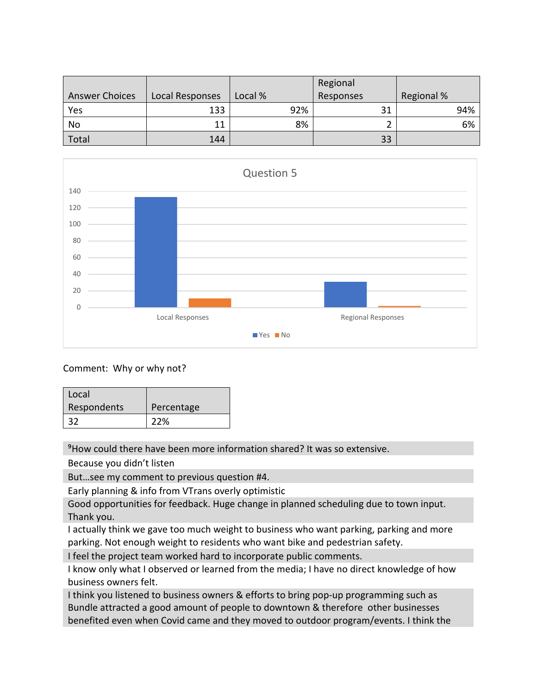|                       |                 |         | Regional  |                   |
|-----------------------|-----------------|---------|-----------|-------------------|
| <b>Answer Choices</b> | Local Responses | Local % | Responses | <b>Regional %</b> |
| Yes                   | 133             | 92%     | 31        | 94%               |
| No                    | 11              | 8%      |           | 6%                |
| Total                 | 144             |         | 33        |                   |



#### Comment: Why or why not?

| Local       |            |
|-------------|------------|
| Respondents | Percentage |
| 32          | 22%        |

⁹How could there have been more information shared? It was so extensive.

Because you didn't listen

But…see my comment to previous question #4.

Early planning & info from VTrans overly optimistic

Good opportunities for feedback. Huge change in planned scheduling due to town input. Thank you.

I actually think we gave too much weight to business who want parking, parking and more parking. Not enough weight to residents who want bike and pedestrian safety.

I feel the project team worked hard to incorporate public comments.

I know only what I observed or learned from the media; I have no direct knowledge of how business owners felt.

I think you listened to business owners & efforts to bring pop-up programming such as Bundle attracted a good amount of people to downtown & therefore other businesses benefited even when Covid came and they moved to outdoor program/events. I think the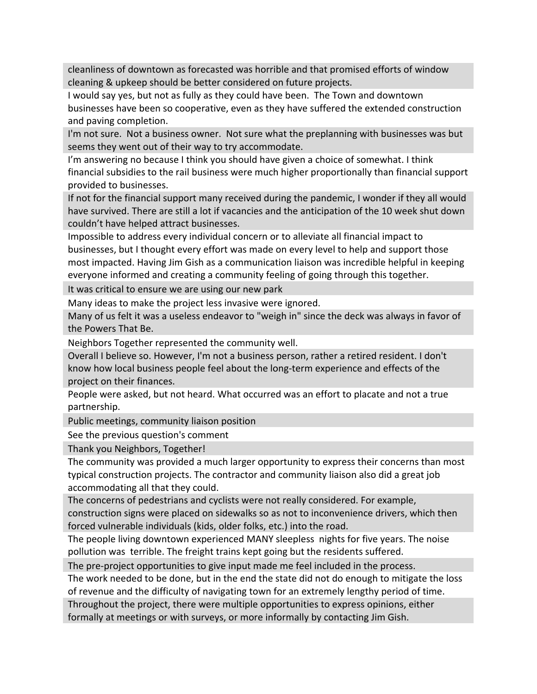cleanliness of downtown as forecasted was horrible and that promised efforts of window cleaning & upkeep should be better considered on future projects.

I would say yes, but not as fully as they could have been. The Town and downtown businesses have been so cooperative, even as they have suffered the extended construction and paving completion.

I'm not sure. Not a business owner. Not sure what the preplanning with businesses was but seems they went out of their way to try accommodate.

I'm answering no because I think you should have given a choice of somewhat. I think financial subsidies to the rail business were much higher proportionally than financial support provided to businesses.

If not for the financial support many received during the pandemic, I wonder if they all would have survived. There are still a lot if vacancies and the anticipation of the 10 week shut down couldn't have helped attract businesses.

Impossible to address every individual concern or to alleviate all financial impact to businesses, but I thought every effort was made on every level to help and support those most impacted. Having Jim Gish as a communication liaison was incredible helpful in keeping everyone informed and creating a community feeling of going through this together.

It was critical to ensure we are using our new park

Many ideas to make the project less invasive were ignored.

Many of us felt it was a useless endeavor to "weigh in" since the deck was always in favor of the Powers That Be.

Neighbors Together represented the community well.

Overall I believe so. However, I'm not a business person, rather a retired resident. I don't know how local business people feel about the long-term experience and effects of the project on their finances.

People were asked, but not heard. What occurred was an effort to placate and not a true partnership.

Public meetings, community liaison position

See the previous question's comment

Thank you Neighbors, Together!

The community was provided a much larger opportunity to express their concerns than most typical construction projects. The contractor and community liaison also did a great job accommodating all that they could.

The concerns of pedestrians and cyclists were not really considered. For example, construction signs were placed on sidewalks so as not to inconvenience drivers, which then forced vulnerable individuals (kids, older folks, etc.) into the road.

The people living downtown experienced MANY sleepless nights for five years. The noise pollution was terrible. The freight trains kept going but the residents suffered.

The pre-project opportunities to give input made me feel included in the process.

The work needed to be done, but in the end the state did not do enough to mitigate the loss of revenue and the difficulty of navigating town for an extremely lengthy period of time.

Throughout the project, there were multiple opportunities to express opinions, either

formally at meetings or with surveys, or more informally by contacting Jim Gish.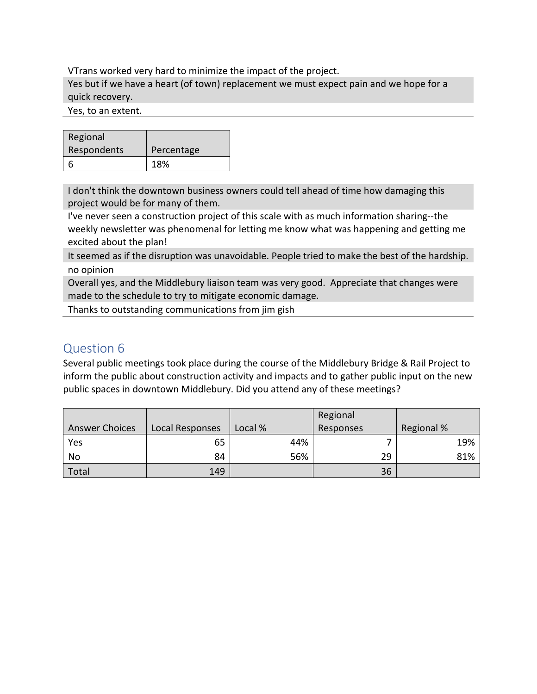VTrans worked very hard to minimize the impact of the project.

Yes but if we have a heart (of town) replacement we must expect pain and we hope for a quick recovery.

Yes, to an extent.

| Regional    |            |
|-------------|------------|
| Respondents | Percentage |
|             | 18%        |

I don't think the downtown business owners could tell ahead of time how damaging this project would be for many of them.

I've never seen a construction project of this scale with as much information sharing--the weekly newsletter was phenomenal for letting me know what was happening and getting me excited about the plan!

It seemed as if the disruption was unavoidable. People tried to make the best of the hardship. no opinion

Overall yes, and the Middlebury liaison team was very good. Appreciate that changes were made to the schedule to try to mitigate economic damage.

Thanks to outstanding communications from jim gish

### Question 6

Several public meetings took place during the course of the Middlebury Bridge & Rail Project to inform the public about construction activity and impacts and to gather public input on the new public spaces in downtown Middlebury. Did you attend any of these meetings?

|                       |                        |         | Regional  |                   |
|-----------------------|------------------------|---------|-----------|-------------------|
| <b>Answer Choices</b> | <b>Local Responses</b> | Local % | Responses | <b>Regional %</b> |
| Yes                   | 65                     | 44%     |           | 19%               |
| No                    | 84                     | 56%     | 29        | 81%               |
| Total                 | 149                    |         | 36        |                   |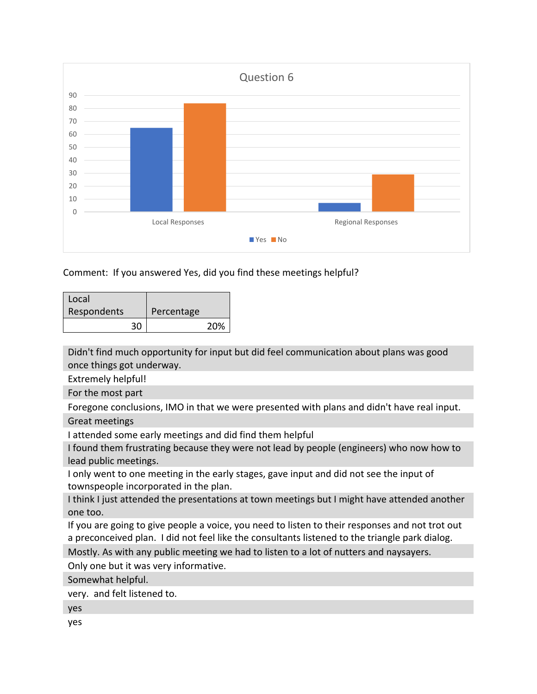

Comment: If you answered Yes, did you find these meetings helpful?

| Local              |            |
|--------------------|------------|
| <b>Respondents</b> | Percentage |
| 30                 | 20%        |

Didn't find much opportunity for input but did feel communication about plans was good once things got underway.

Extremely helpful!

For the most part

Foregone conclusions, IMO in that we were presented with plans and didn't have real input.

Great meetings

I attended some early meetings and did find them helpful

I found them frustrating because they were not lead by people (engineers) who now how to lead public meetings.

I only went to one meeting in the early stages, gave input and did not see the input of townspeople incorporated in the plan.

I think I just attended the presentations at town meetings but I might have attended another one too.

If you are going to give people a voice, you need to listen to their responses and not trot out a preconceived plan. I did not feel like the consultants listened to the triangle park dialog.

Mostly. As with any public meeting we had to listen to a lot of nutters and naysayers.

Only one but it was very informative.

Somewhat helpful.

very. and felt listened to.

yes

yes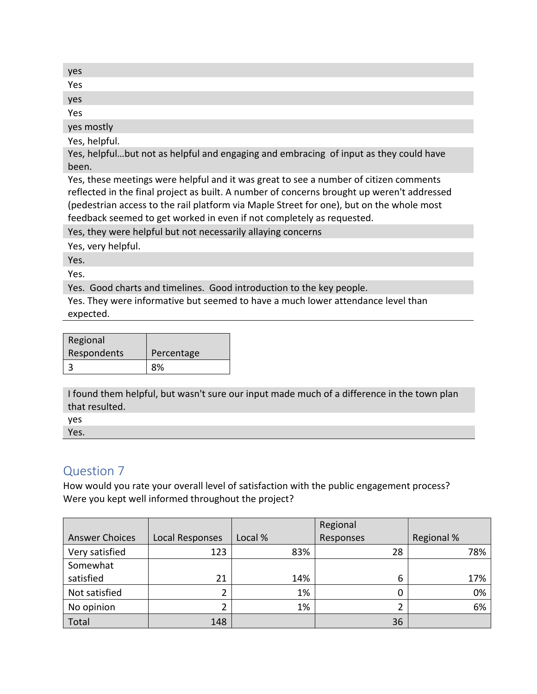| yes |  |  |
|-----|--|--|
| Yes |  |  |
| yes |  |  |
| Yes |  |  |

yes mostly

Yes, helpful.

Yes, helpful…but not as helpful and engaging and embracing of input as they could have been.

Yes, these meetings were helpful and it was great to see a number of citizen comments reflected in the final project as built. A number of concerns brought up weren't addressed (pedestrian access to the rail platform via Maple Street for one), but on the whole most feedback seemed to get worked in even if not completely as requested.

Yes, they were helpful but not necessarily allaying concerns

Yes, very helpful.

Yes.

Yes.

Yes. Good charts and timelines. Good introduction to the key people.

Yes. They were informative but seemed to have a much lower attendance level than expected.

| Regional    |            |
|-------------|------------|
| Respondents | Percentage |
| 3           | 8%         |

I found them helpful, but wasn't sure our input made much of a difference in the town plan that resulted.

yes Yes.

### Question 7

How would you rate your overall level of satisfaction with the public engagement process? Were you kept well informed throughout the project?

|                       |                 |         | Regional  |            |
|-----------------------|-----------------|---------|-----------|------------|
| <b>Answer Choices</b> | Local Responses | Local % | Responses | Regional % |
| Very satisfied        | 123             | 83%     | 28        | 78%        |
| Somewhat              |                 |         |           |            |
| satisfied             | 21              | 14%     | 6         | 17%        |
| Not satisfied         | 2               | 1%      |           | 0%         |
| No opinion            | ∍               | 1%      |           | 6%         |
| Total                 | 148             |         | 36        |            |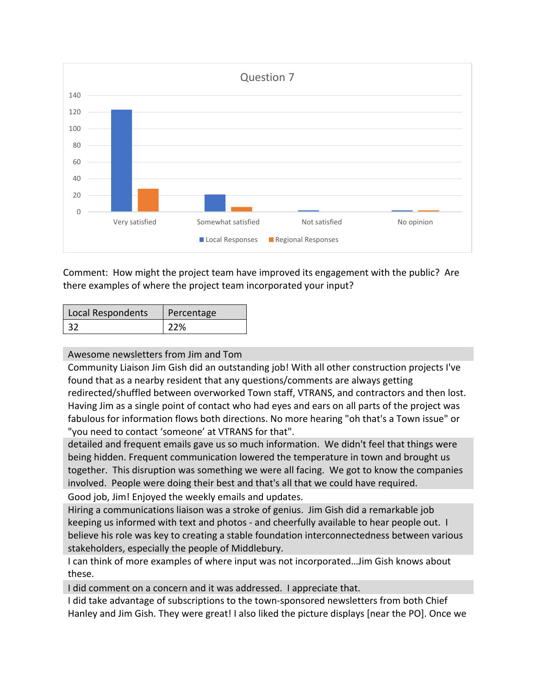

Comment: How might the project team have improved its engagement with the public? Are there examples of where the project team incorporated your input?

| Local Respondents | Percentage |
|-------------------|------------|
| -32               | 22%        |

#### Awesome newsletters from Jim and Tom

Community Liaison Jim Gish did an outstanding job! With all other construction projects I've found that as a nearby resident that any questions/comments are always getting redirected/shuffled between overworked Town staff, VTRANS, and contractors and then lost. Having Jim as a single point of contact who had eyes and ears on all parts of the project was fabulous for information flows both directions. No more hearing "oh that's a Town issue" or "you need to contact 'someone' at VTRANS for that".

detailed and frequent emails gave us so much information. We didn't feel that things were being hidden. Frequent communication lowered the temperature in town and brought us together. This disruption was something we were all facing. We got to know the companies involved. People were doing their best and that's all that we could have required.

Good job, Jim! Enjoyed the weekly emails and updates.

Hiring a communications liaison was a stroke of genius. Jim Gish did a remarkable job keeping us informed with text and photos - and cheerfully available to hear people out. I believe his role was key to creating a stable foundation interconnectedness between various stakeholders, especially the people of Middlebury.

I can think of more examples of where input was not incorporated…Jim Gish knows about these.

I did comment on a concern and it was addressed. I appreciate that.

I did take advantage of subscriptions to the town-sponsored newsletters from both Chief Hanley and Jim Gish. They were great! I also liked the picture displays [near the PO]. Once we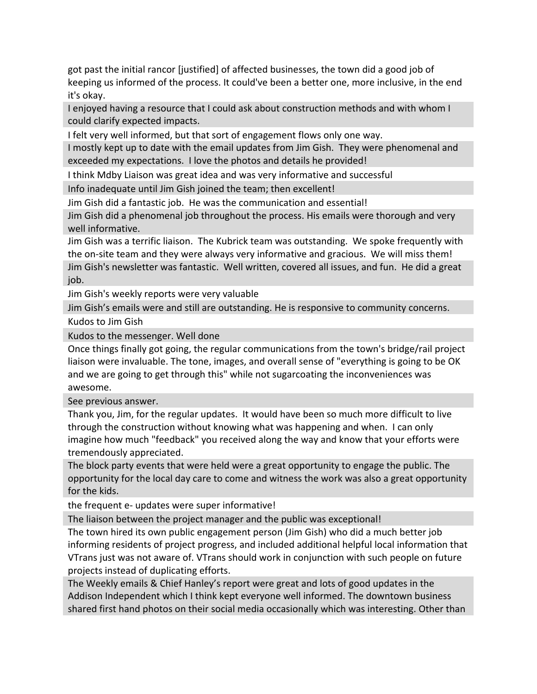got past the initial rancor [justified] of affected businesses, the town did a good job of keeping us informed of the process. It could've been a better one, more inclusive, in the end it's okay.

I enjoyed having a resource that I could ask about construction methods and with whom I could clarify expected impacts.

I felt very well informed, but that sort of engagement flows only one way.

I mostly kept up to date with the email updates from Jim Gish. They were phenomenal and exceeded my expectations. I love the photos and details he provided!

I think Mdby Liaison was great idea and was very informative and successful

Info inadequate until Jim Gish joined the team; then excellent!

Jim Gish did a fantastic job. He was the communication and essential! Jim Gish did a phenomenal job throughout the process. His emails were thorough and very well informative.

Jim Gish was a terrific liaison. The Kubrick team was outstanding. We spoke frequently with the on-site team and they were always very informative and gracious. We will miss them! Jim Gish's newsletter was fantastic. Well written, covered all issues, and fun. He did a great job.

Jim Gish's weekly reports were very valuable

Jim Gish's emails were and still are outstanding. He is responsive to community concerns. Kudos to Jim Gish

Kudos to the messenger. Well done

Once things finally got going, the regular communications from the town's bridge/rail project liaison were invaluable. The tone, images, and overall sense of "everything is going to be OK and we are going to get through this" while not sugarcoating the inconveniences was awesome.

See previous answer.

Thank you, Jim, for the regular updates. It would have been so much more difficult to live through the construction without knowing what was happening and when. I can only imagine how much "feedback" you received along the way and know that your efforts were tremendously appreciated.

The block party events that were held were a great opportunity to engage the public. The opportunity for the local day care to come and witness the work was also a great opportunity for the kids.

the frequent e- updates were super informative!

The liaison between the project manager and the public was exceptional!

The town hired its own public engagement person (Jim Gish) who did a much better job informing residents of project progress, and included additional helpful local information that VTrans just was not aware of. VTrans should work in conjunction with such people on future projects instead of duplicating efforts.

The Weekly emails & Chief Hanley's report were great and lots of good updates in the Addison Independent which I think kept everyone well informed. The downtown business shared first hand photos on their social media occasionally which was interesting. Other than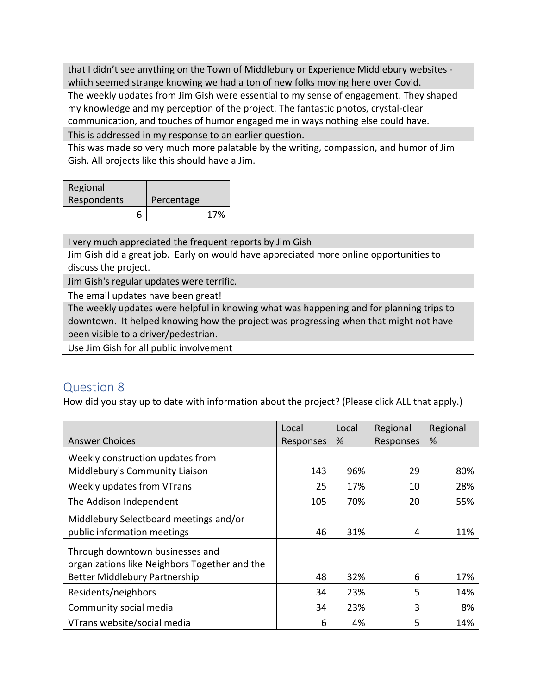that I didn't see anything on the Town of Middlebury or Experience Middlebury websites which seemed strange knowing we had a ton of new folks moving here over Covid. The weekly updates from Jim Gish were essential to my sense of engagement. They shaped my knowledge and my perception of the project. The fantastic photos, crystal-clear communication, and touches of humor engaged me in ways nothing else could have.

This is addressed in my response to an earlier question.

This was made so very much more palatable by the writing, compassion, and humor of Jim Gish. All projects like this should have a Jim.

| Regional    |            |     |
|-------------|------------|-----|
| Respondents | Percentage |     |
|             |            | 17% |

I very much appreciated the frequent reports by Jim Gish

Jim Gish did a great job. Early on would have appreciated more online opportunities to discuss the project.

Jim Gish's regular updates were terrific.

The email updates have been great!

The weekly updates were helpful in knowing what was happening and for planning trips to downtown. It helped knowing how the project was progressing when that might not have been visible to a driver/pedestrian.

Use Jim Gish for all public involvement

## Question 8

How did you stay up to date with information about the project? (Please click ALL that apply.)

|                                                                                  | Local     | Local | Regional  | Regional |
|----------------------------------------------------------------------------------|-----------|-------|-----------|----------|
| <b>Answer Choices</b>                                                            | Responses | %     | Responses | %        |
| Weekly construction updates from                                                 |           |       |           |          |
| Middlebury's Community Liaison                                                   | 143       | 96%   | 29        | 80%      |
| Weekly updates from VTrans                                                       | 25        | 17%   | 10        | 28%      |
| The Addison Independent                                                          | 105       | 70%   | 20        | 55%      |
| Middlebury Selectboard meetings and/or                                           |           |       |           |          |
| public information meetings                                                      | 46        | 31%   | 4         | 11%      |
| Through downtown businesses and<br>organizations like Neighbors Together and the |           |       |           |          |
| Better Middlebury Partnership                                                    | 48        | 32%   | 6         | 17%      |
| Residents/neighbors                                                              | 34        | 23%   | 5         | 14%      |
| Community social media                                                           | 34        | 23%   | 3         | 8%       |
| VTrans website/social media                                                      | 6         | 4%    | 5         | 14%      |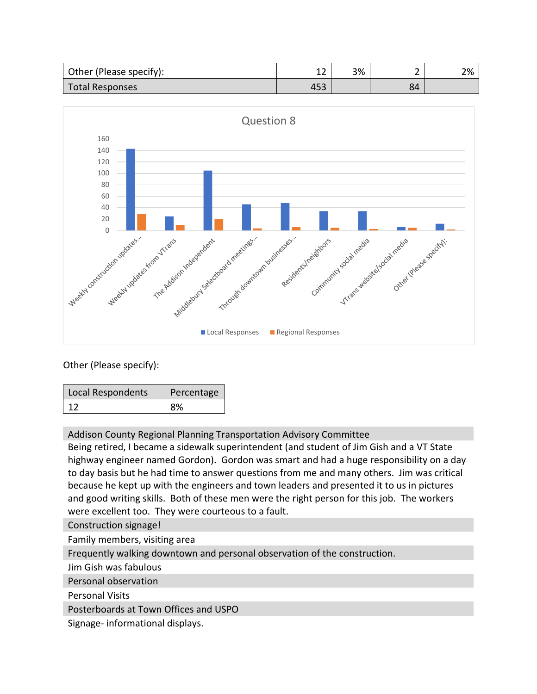| Other (Please specify): | ∸∸  | 3% |    | 2% |
|-------------------------|-----|----|----|----|
| <b>Total Responses</b>  | 493 |    | 84 |    |



Other (Please specify):

| Local Respondents | Percentage |
|-------------------|------------|
| -12               | 8%         |

Addison County Regional Planning Transportation Advisory Committee

Being retired, I became a sidewalk superintendent (and student of Jim Gish and a VT State highway engineer named Gordon). Gordon was smart and had a huge responsibility on a day to day basis but he had time to answer questions from me and many others. Jim was critical because he kept up with the engineers and town leaders and presented it to us in pictures and good writing skills. Both of these men were the right person for this job. The workers were excellent too. They were courteous to a fault.

Construction signage!

Family members, visiting area

Frequently walking downtown and personal observation of the construction.

Jim Gish was fabulous

Personal observation

Personal Visits

Posterboards at Town Offices and USPO

Signage- informational displays.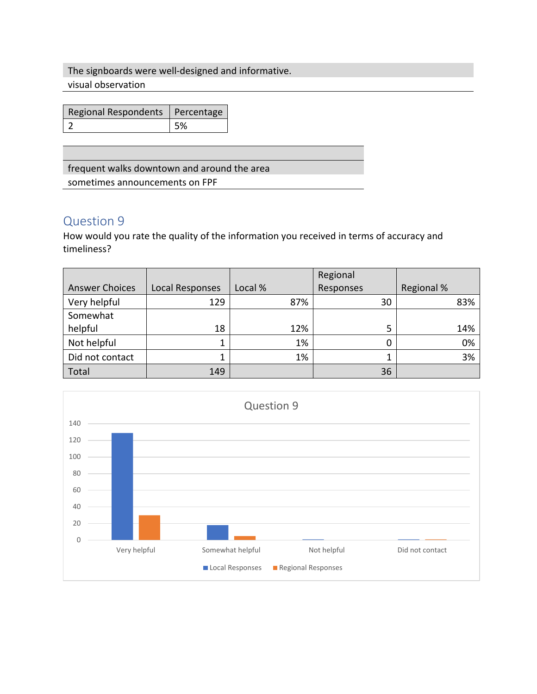The signboards were well-designed and informative. visual observation

| Regional Respondents   Percentage |    |
|-----------------------------------|----|
|                                   | 5% |

frequent walks downtown and around the area

sometimes announcements on FPF

### Question 9

How would you rate the quality of the information you received in terms of accuracy and timeliness?

|                       |                        |         | Regional  |            |
|-----------------------|------------------------|---------|-----------|------------|
| <b>Answer Choices</b> | <b>Local Responses</b> | Local % | Responses | Regional % |
| Very helpful          | 129                    | 87%     | 30        | 83%        |
| Somewhat              |                        |         |           |            |
| helpful               | 18                     | 12%     | 5         | 14%        |
| Not helpful           |                        | 1%      | 0         | 0%         |
| Did not contact       |                        | 1%      |           | 3%         |
| Total                 | 149                    |         | 36        |            |

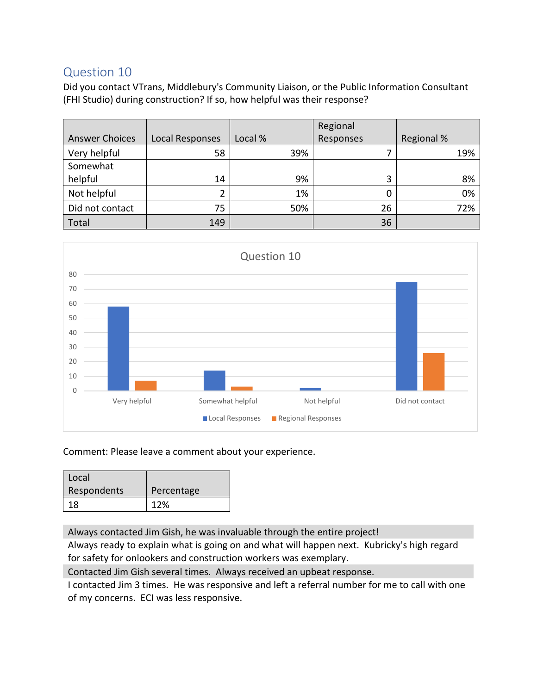### Question 10

Did you contact VTrans, Middlebury's Community Liaison, or the Public Information Consultant (FHI Studio) during construction? If so, how helpful was their response?

|                       |                        |         | Regional  |            |
|-----------------------|------------------------|---------|-----------|------------|
| <b>Answer Choices</b> | <b>Local Responses</b> | Local % | Responses | Regional % |
| Very helpful          | 58                     | 39%     |           | 19%        |
| Somewhat              |                        |         |           |            |
| helpful               | 14                     | 9%      | 3         | 8%         |
| Not helpful           |                        | 1%      | 0         | 0%         |
| Did not contact       | 75                     | 50%     | 26        | 72%        |
| Total                 | 149                    |         | 36        |            |



Comment: Please leave a comment about your experience.

| Local       |            |
|-------------|------------|
| Respondents | Percentage |
| 18.         | 12%        |

Always contacted Jim Gish, he was invaluable through the entire project!

Always ready to explain what is going on and what will happen next. Kubricky's high regard for safety for onlookers and construction workers was exemplary.

Contacted Jim Gish several times. Always received an upbeat response.

I contacted Jim 3 times. He was responsive and left a referral number for me to call with one of my concerns. ECI was less responsive.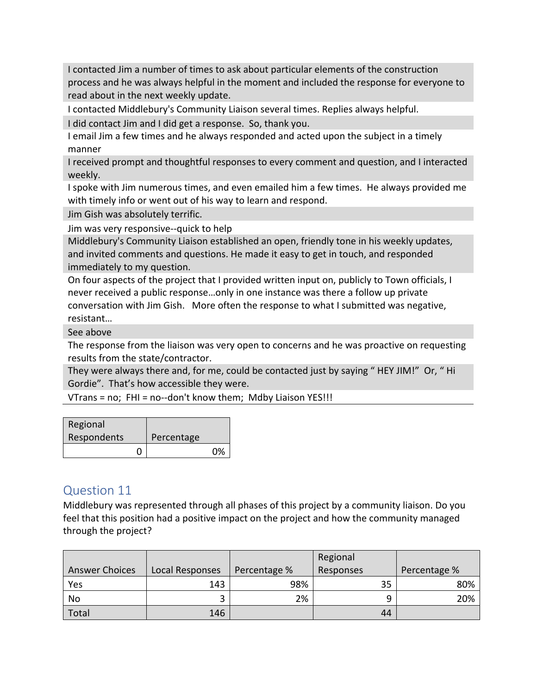I contacted Jim a number of times to ask about particular elements of the construction process and he was always helpful in the moment and included the response for everyone to read about in the next weekly update.

I contacted Middlebury's Community Liaison several times. Replies always helpful.

I did contact Jim and I did get a response. So, thank you.

I email Jim a few times and he always responded and acted upon the subject in a timely manner

I received prompt and thoughtful responses to every comment and question, and I interacted weekly.

I spoke with Jim numerous times, and even emailed him a few times. He always provided me with timely info or went out of his way to learn and respond.

Jim Gish was absolutely terrific.

Jim was very responsive--quick to help

Middlebury's Community Liaison established an open, friendly tone in his weekly updates, and invited comments and questions. He made it easy to get in touch, and responded immediately to my question.

On four aspects of the project that I provided written input on, publicly to Town officials, I never received a public response…only in one instance was there a follow up private conversation with Jim Gish. More often the response to what I submitted was negative, resistant…

See above

The response from the liaison was very open to concerns and he was proactive on requesting results from the state/contractor.

They were always there and, for me, could be contacted just by saying " HEY JIM!" Or, " Hi Gordie". That's how accessible they were.

VTrans = no; FHI = no--don't know them; Mdby Liaison YES!!!

| Regional    |            |    |
|-------------|------------|----|
| Respondents | Percentage |    |
|             |            | 0% |

### Question 11

Middlebury was represented through all phases of this project by a community liaison. Do you feel that this position had a positive impact on the project and how the community managed through the project?

|                       |                        |              | Regional  |              |
|-----------------------|------------------------|--------------|-----------|--------------|
| <b>Answer Choices</b> | <b>Local Responses</b> | Percentage % | Responses | Percentage % |
| Yes                   | 143                    | 98%          | 35        | 80%          |
| No                    | ب                      | 2%           |           | 20%          |
| Total                 | 146                    |              | 44        |              |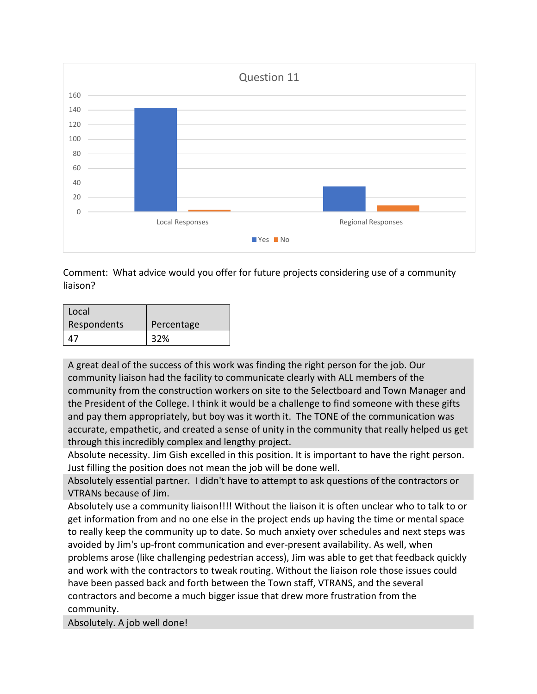

Comment: What advice would you offer for future projects considering use of a community liaison?

| Local       |            |
|-------------|------------|
| Respondents | Percentage |
|             | 32%        |

A great deal of the success of this work was finding the right person for the job. Our community liaison had the facility to communicate clearly with ALL members of the community from the construction workers on site to the Selectboard and Town Manager and the President of the College. I think it would be a challenge to find someone with these gifts and pay them appropriately, but boy was it worth it. The TONE of the communication was accurate, empathetic, and created a sense of unity in the community that really helped us get through this incredibly complex and lengthy project.

Absolute necessity. Jim Gish excelled in this position. It is important to have the right person. Just filling the position does not mean the job will be done well.

Absolutely essential partner. I didn't have to attempt to ask questions of the contractors or VTRANs because of Jim.

Absolutely use a community liaison!!!! Without the liaison it is often unclear who to talk to or get information from and no one else in the project ends up having the time or mental space to really keep the community up to date. So much anxiety over schedules and next steps was avoided by Jim's up-front communication and ever-present availability. As well, when problems arose (like challenging pedestrian access), Jim was able to get that feedback quickly and work with the contractors to tweak routing. Without the liaison role those issues could have been passed back and forth between the Town staff, VTRANS, and the several contractors and become a much bigger issue that drew more frustration from the community.

Absolutely. A job well done!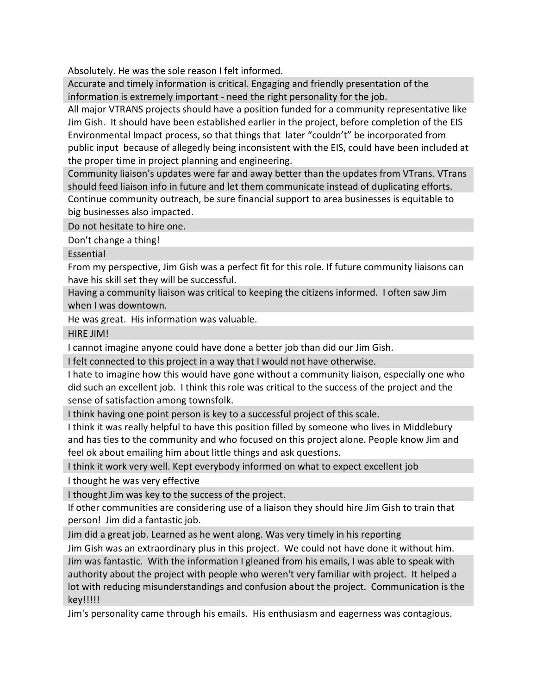Absolutely. He was the sole reason I felt informed.

Accurate and timely information is critical. Engaging and friendly presentation of the information is extremely important - need the right personality for the job.

All major VTRANS projects should have a position funded for a community representative like Jim Gish. It should have been established earlier in the project, before completion of the EIS Environmental Impact process, so that things that later "couldn't" be incorporated from public input because of allegedly being inconsistent with the EIS, could have been included at the proper time in project planning and engineering.

Community liaison's updates were far and away better than the updates from VTrans. VTrans should feed liaison info in future and let them communicate instead of duplicating efforts. Continue community outreach, be sure financial support to area businesses is equitable to big businesses also impacted.

Do not hesitate to hire one.

Don't change a thing!

**Essential** 

From my perspective, Jim Gish was a perfect fit for this role. If future community liaisons can have his skill set they will be successful.

Having a community liaison was critical to keeping the citizens informed. I often saw Jim when I was downtown.

He was great. His information was valuable.

HIRE JIM!

I cannot imagine anyone could have done a better job than did our Jim Gish.

I felt connected to this project in a way that I would not have otherwise.

I hate to imagine how this would have gone without a community liaison, especially one who did such an excellent job. I think this role was critical to the success of the project and the sense of satisfaction among townsfolk.

I think having one point person is key to a successful project of this scale.

I think it was really helpful to have this position filled by someone who lives in Middlebury and has ties to the community and who focused on this project alone. People know Jim and feel ok about emailing him about little things and ask questions.

I think it work very well. Kept everybody informed on what to expect excellent job

I thought he was very effective

I thought Jim was key to the success of the project.

If other communities are considering use of a liaison they should hire Jim Gish to train that person! Jim did a fantastic job.

Jim did a great job. Learned as he went along. Was very timely in his reporting

Jim Gish was an extraordinary plus in this project. We could not have done it without him. Jim was fantastic. With the information I gleaned from his emails, I was able to speak with authority about the project with people who weren't very familiar with project. It helped a lot with reducing misunderstandings and confusion about the project. Communication is the key!!!!!

Jim's personality came through his emails. His enthusiasm and eagerness was contagious.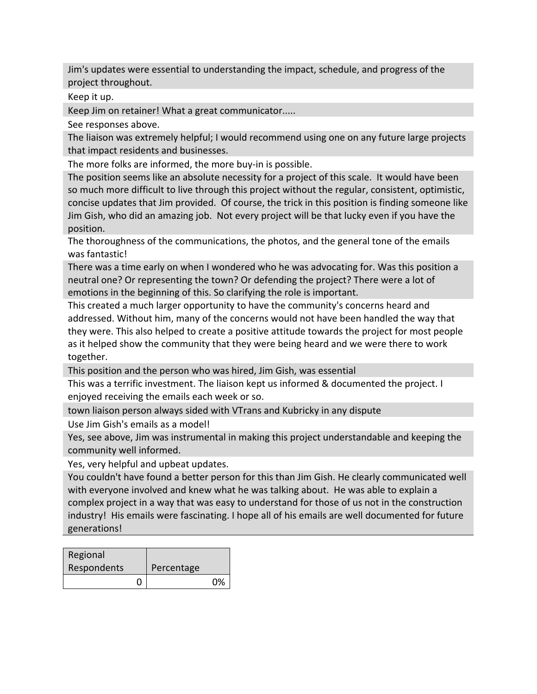Jim's updates were essential to understanding the impact, schedule, and progress of the project throughout.

Keep it up.

Keep Jim on retainer! What a great communicator.....

See responses above.

The liaison was extremely helpful; I would recommend using one on any future large projects that impact residents and businesses.

The more folks are informed, the more buy-in is possible.

The position seems like an absolute necessity for a project of this scale. It would have been so much more difficult to live through this project without the regular, consistent, optimistic, concise updates that Jim provided. Of course, the trick in this position is finding someone like Jim Gish, who did an amazing job. Not every project will be that lucky even if you have the position.

The thoroughness of the communications, the photos, and the general tone of the emails was fantastic!

There was a time early on when I wondered who he was advocating for. Was this position a neutral one? Or representing the town? Or defending the project? There were a lot of emotions in the beginning of this. So clarifying the role is important.

This created a much larger opportunity to have the community's concerns heard and addressed. Without him, many of the concerns would not have been handled the way that they were. This also helped to create a positive attitude towards the project for most people as it helped show the community that they were being heard and we were there to work together.

This position and the person who was hired, Jim Gish, was essential

This was a terrific investment. The liaison kept us informed & documented the project. I enjoyed receiving the emails each week or so.

town liaison person always sided with VTrans and Kubricky in any dispute

Use Jim Gish's emails as a model!

Yes, see above, Jim was instrumental in making this project understandable and keeping the community well informed.

Yes, very helpful and upbeat updates.

You couldn't have found a better person for this than Jim Gish. He clearly communicated well with everyone involved and knew what he was talking about. He was able to explain a complex project in a way that was easy to understand for those of us not in the construction industry! His emails were fascinating. I hope all of his emails are well documented for future generations!

| Regional    |            |    |
|-------------|------------|----|
| Respondents | Percentage |    |
|             |            | 0% |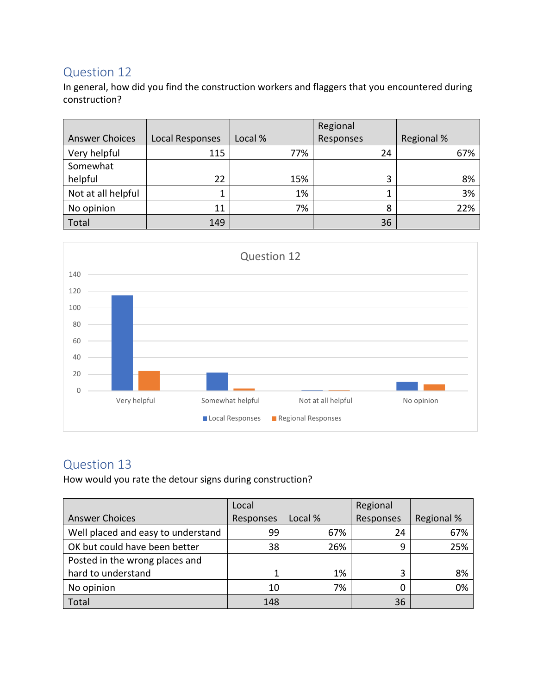### Question 12

In general, how did you find the construction workers and flaggers that you encountered during construction?

|                       |                        |         | Regional  |            |
|-----------------------|------------------------|---------|-----------|------------|
| <b>Answer Choices</b> | <b>Local Responses</b> | Local % | Responses | Regional % |
| Very helpful          | 115                    | 77%     | 24        | 67%        |
| Somewhat              |                        |         |           |            |
| helpful               | 22                     | 15%     | 3         | 8%         |
| Not at all helpful    |                        | 1%      | J.        | 3%         |
| No opinion            | 11                     | 7%      | 8         | 22%        |
| Total                 | 149                    |         | 36        |            |



# Question 13

How would you rate the detour signs during construction?

|                                    | Local     |         | Regional  |            |
|------------------------------------|-----------|---------|-----------|------------|
| <b>Answer Choices</b>              | Responses | Local % | Responses | Regional % |
| Well placed and easy to understand | 99        | 67%     | 24        | 67%        |
| OK but could have been better      | 38        | 26%     | 9         | 25%        |
| Posted in the wrong places and     |           |         |           |            |
| hard to understand                 |           | 1%      | 3         | 8%         |
| No opinion                         | 10        | 7%      |           | 0%         |
| Total                              | 148       |         | 36        |            |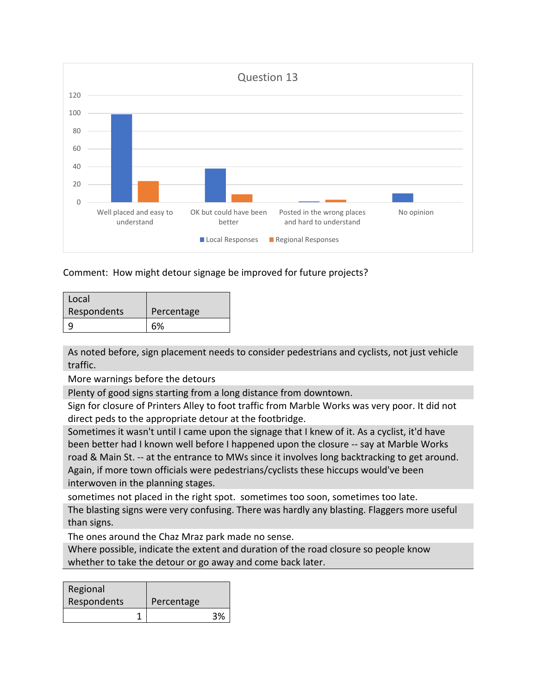

Comment: How might detour signage be improved for future projects?

| Local       |            |
|-------------|------------|
| Respondents | Percentage |
|             | 6%         |

As noted before, sign placement needs to consider pedestrians and cyclists, not just vehicle traffic.

More warnings before the detours

Plenty of good signs starting from a long distance from downtown.

Sign for closure of Printers Alley to foot traffic from Marble Works was very poor. It did not direct peds to the appropriate detour at the footbridge.

Sometimes it wasn't until I came upon the signage that I knew of it. As a cyclist, it'd have been better had I known well before I happened upon the closure -- say at Marble Works road & Main St. -- at the entrance to MWs since it involves long backtracking to get around. Again, if more town officials were pedestrians/cyclists these hiccups would've been interwoven in the planning stages.

sometimes not placed in the right spot. sometimes too soon, sometimes too late.

The blasting signs were very confusing. There was hardly any blasting. Flaggers more useful than signs.

The ones around the Chaz Mraz park made no sense.

Where possible, indicate the extent and duration of the road closure so people know whether to take the detour or go away and come back later.

| Regional    |            |    |
|-------------|------------|----|
| Respondents | Percentage |    |
|             |            | 2% |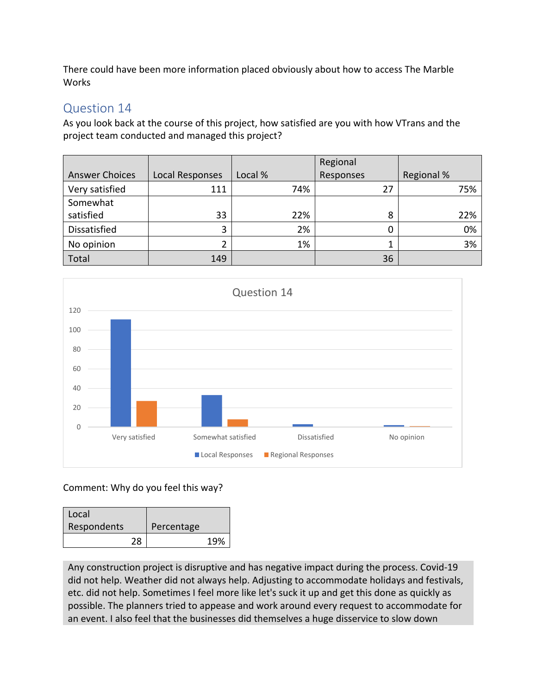There could have been more information placed obviously about how to access The Marble Works

# Question 14

As you look back at the course of this project, how satisfied are you with how VTrans and the project team conducted and managed this project?

|                       |                 |         | Regional  |            |
|-----------------------|-----------------|---------|-----------|------------|
| <b>Answer Choices</b> | Local Responses | Local % | Responses | Regional % |
| Very satisfied        | 111             | 74%     | 27        | 75%        |
| Somewhat              |                 |         |           |            |
| satisfied             | 33              | 22%     | 8         | 22%        |
| Dissatisfied          | 3               | 2%      |           | 0%         |
| No opinion            |                 | 1%      |           | 3%         |
| Total                 | 149             |         | 36        |            |



#### Comment: Why do you feel this way?

| Local       |            |     |
|-------------|------------|-----|
| Respondents | Percentage |     |
| 28          |            | 19% |

Any construction project is disruptive and has negative impact during the process. Covid-19 did not help. Weather did not always help. Adjusting to accommodate holidays and festivals, etc. did not help. Sometimes I feel more like let's suck it up and get this done as quickly as possible. The planners tried to appease and work around every request to accommodate for an event. I also feel that the businesses did themselves a huge disservice to slow down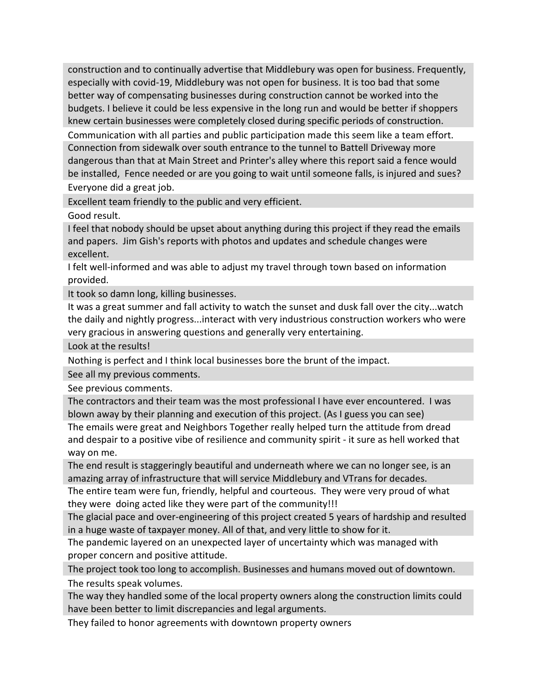construction and to continually advertise that Middlebury was open for business. Frequently, especially with covid-19, Middlebury was not open for business. It is too bad that some better way of compensating businesses during construction cannot be worked into the budgets. I believe it could be less expensive in the long run and would be better if shoppers knew certain businesses were completely closed during specific periods of construction.

Communication with all parties and public participation made this seem like a team effort. Connection from sidewalk over south entrance to the tunnel to Battell Driveway more dangerous than that at Main Street and Printer's alley where this report said a fence would be installed, Fence needed or are you going to wait until someone falls, is injured and sues?

Everyone did a great job.

Excellent team friendly to the public and very efficient.

Good result.

I feel that nobody should be upset about anything during this project if they read the emails and papers. Jim Gish's reports with photos and updates and schedule changes were excellent.

I felt well-informed and was able to adjust my travel through town based on information provided.

It took so damn long, killing businesses.

It was a great summer and fall activity to watch the sunset and dusk fall over the city...watch the daily and nightly progress...interact with very industrious construction workers who were very gracious in answering questions and generally very entertaining.

Look at the results!

Nothing is perfect and I think local businesses bore the brunt of the impact.

See all my previous comments.

See previous comments.

The contractors and their team was the most professional I have ever encountered. I was blown away by their planning and execution of this project. (As I guess you can see)

The emails were great and Neighbors Together really helped turn the attitude from dread and despair to a positive vibe of resilience and community spirit - it sure as hell worked that way on me.

The end result is staggeringly beautiful and underneath where we can no longer see, is an amazing array of infrastructure that will service Middlebury and VTrans for decades.

The entire team were fun, friendly, helpful and courteous. They were very proud of what they were doing acted like they were part of the community!!!

The glacial pace and over-engineering of this project created 5 years of hardship and resulted in a huge waste of taxpayer money. All of that, and very little to show for it.

The pandemic layered on an unexpected layer of uncertainty which was managed with proper concern and positive attitude.

The project took too long to accomplish. Businesses and humans moved out of downtown. The results speak volumes.

The way they handled some of the local property owners along the construction limits could have been better to limit discrepancies and legal arguments.

They failed to honor agreements with downtown property owners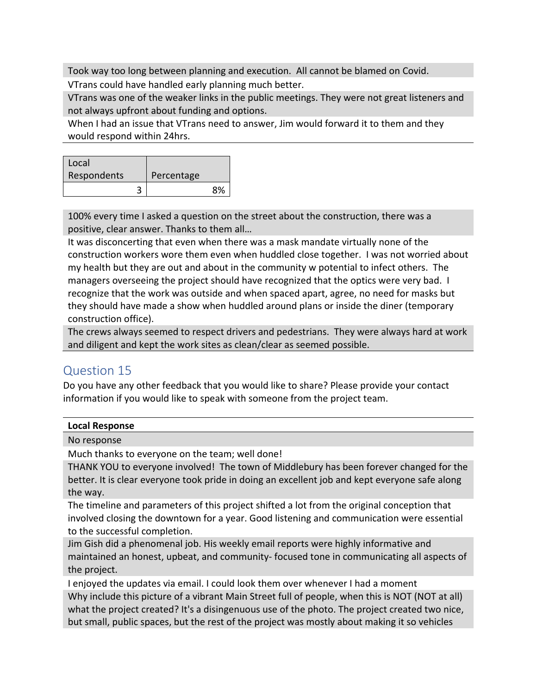Took way too long between planning and execution. All cannot be blamed on Covid.

VTrans could have handled early planning much better.

VTrans was one of the weaker links in the public meetings. They were not great listeners and not always upfront about funding and options.

When I had an issue that VTrans need to answer, Jim would forward it to them and they would respond within 24hrs.

| Local       |            |           |
|-------------|------------|-----------|
| Respondents | Percentage |           |
|             |            | <b>Ω%</b> |

100% every time I asked a question on the street about the construction, there was a positive, clear answer. Thanks to them all…

It was disconcerting that even when there was a mask mandate virtually none of the construction workers wore them even when huddled close together. I was not worried about my health but they are out and about in the community w potential to infect others. The managers overseeing the project should have recognized that the optics were very bad. I recognize that the work was outside and when spaced apart, agree, no need for masks but they should have made a show when huddled around plans or inside the diner (temporary construction office).

The crews always seemed to respect drivers and pedestrians. They were always hard at work and diligent and kept the work sites as clean/clear as seemed possible.

## Question 15

Do you have any other feedback that you would like to share? Please provide your contact information if you would like to speak with someone from the project team.

| <b>Local Response</b>                                                                          |
|------------------------------------------------------------------------------------------------|
| No response                                                                                    |
| Much thanks to everyone on the team; well done!                                                |
| THANK YOU to everyone involved! The town of Middlebury has been forever changed for the        |
| better. It is clear everyone took pride in doing an excellent job and kept everyone safe along |
| the way.                                                                                       |
| The timeline and narameters of this project shifted a lot from the original concention that    |

arameters of this project shifted a lot from the original conception that involved closing the downtown for a year. Good listening and communication were essential to the successful completion.

Jim Gish did a phenomenal job. His weekly email reports were highly informative and maintained an honest, upbeat, and community- focused tone in communicating all aspects of the project.

I enjoyed the updates via email. I could look them over whenever I had a moment Why include this picture of a vibrant Main Street full of people, when this is NOT (NOT at all) what the project created? It's a disingenuous use of the photo. The project created two nice, but small, public spaces, but the rest of the project was mostly about making it so vehicles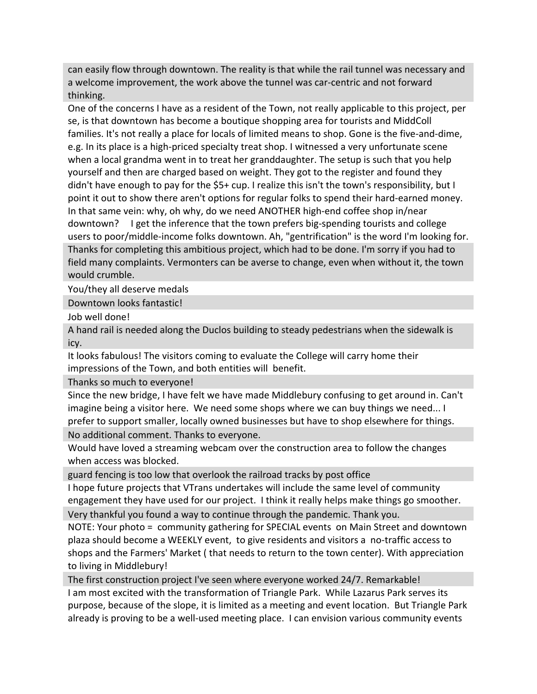can easily flow through downtown. The reality is that while the rail tunnel was necessary and a welcome improvement, the work above the tunnel was car-centric and not forward thinking.

One of the concerns I have as a resident of the Town, not really applicable to this project, per se, is that downtown has become a boutique shopping area for tourists and MiddColl families. It's not really a place for locals of limited means to shop. Gone is the five-and-dime, e.g. In its place is a high-priced specialty treat shop. I witnessed a very unfortunate scene when a local grandma went in to treat her granddaughter. The setup is such that you help yourself and then are charged based on weight. They got to the register and found they didn't have enough to pay for the \$5+ cup. I realize this isn't the town's responsibility, but I point it out to show there aren't options for regular folks to spend their hard-earned money. In that same vein: why, oh why, do we need ANOTHER high-end coffee shop in/near downtown? I get the inference that the town prefers big-spending tourists and college users to poor/middle-income folks downtown. Ah, "gentrification" is the word I'm looking for. Thanks for completing this ambitious project, which had to be done. I'm sorry if you had to field many complaints. Vermonters can be averse to change, even when without it, the town would crumble.

You/they all deserve medals

Downtown looks fantastic!

Job well done!

A hand rail is needed along the Duclos building to steady pedestrians when the sidewalk is icy.

It looks fabulous! The visitors coming to evaluate the College will carry home their impressions of the Town, and both entities will benefit.

Thanks so much to everyone!

Since the new bridge, I have felt we have made Middlebury confusing to get around in. Can't imagine being a visitor here. We need some shops where we can buy things we need... I prefer to support smaller, locally owned businesses but have to shop elsewhere for things. No additional comment. Thanks to everyone.

Would have loved a streaming webcam over the construction area to follow the changes when access was blocked.

guard fencing is too low that overlook the railroad tracks by post office

I hope future projects that VTrans undertakes will include the same level of community engagement they have used for our project. I think it really helps make things go smoother.

Very thankful you found a way to continue through the pandemic. Thank you.

NOTE: Your photo = community gathering for SPECIAL events on Main Street and downtown plaza should become a WEEKLY event, to give residents and visitors a no-traffic access to shops and the Farmers' Market ( that needs to return to the town center). With appreciation to living in Middlebury!

The first construction project I've seen where everyone worked 24/7. Remarkable!

I am most excited with the transformation of Triangle Park. While Lazarus Park serves its purpose, because of the slope, it is limited as a meeting and event location. But Triangle Park already is proving to be a well-used meeting place. I can envision various community events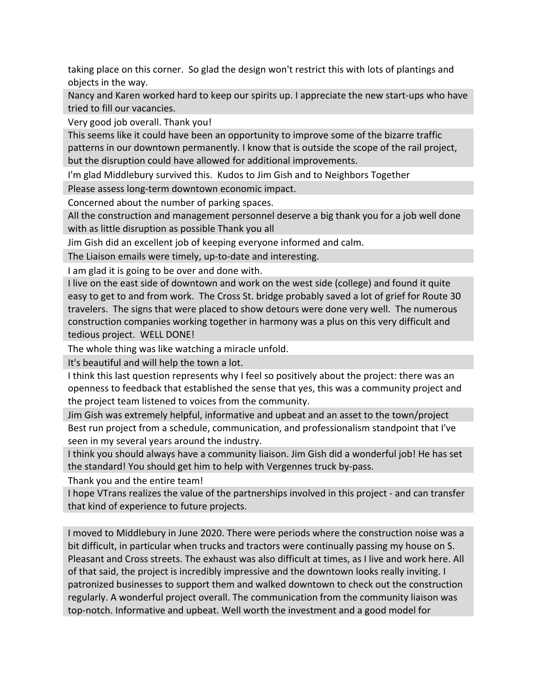taking place on this corner. So glad the design won't restrict this with lots of plantings and objects in the way.

Nancy and Karen worked hard to keep our spirits up. I appreciate the new start-ups who have tried to fill our vacancies.

Very good job overall. Thank you!

This seems like it could have been an opportunity to improve some of the bizarre traffic patterns in our downtown permanently. I know that is outside the scope of the rail project, but the disruption could have allowed for additional improvements.

I'm glad Middlebury survived this. Kudos to Jim Gish and to Neighbors Together

Please assess long-term downtown economic impact.

Concerned about the number of parking spaces.

All the construction and management personnel deserve a big thank you for a job well done with as little disruption as possible Thank you all

Jim Gish did an excellent job of keeping everyone informed and calm.

The Liaison emails were timely, up-to-date and interesting.

I am glad it is going to be over and done with.

I live on the east side of downtown and work on the west side (college) and found it quite easy to get to and from work. The Cross St. bridge probably saved a lot of grief for Route 30 travelers. The signs that were placed to show detours were done very well. The numerous construction companies working together in harmony was a plus on this very difficult and tedious project. WELL DONE!

The whole thing was like watching a miracle unfold.

It's beautiful and will help the town a lot.

I think this last question represents why I feel so positively about the project: there was an openness to feedback that established the sense that yes, this was a community project and the project team listened to voices from the community.

Jim Gish was extremely helpful, informative and upbeat and an asset to the town/project Best run project from a schedule, communication, and professionalism standpoint that I've seen in my several years around the industry.

I think you should always have a community liaison. Jim Gish did a wonderful job! He has set the standard! You should get him to help with Vergennes truck by-pass.

Thank you and the entire team!

I hope VTrans realizes the value of the partnerships involved in this project - and can transfer that kind of experience to future projects.

I moved to Middlebury in June 2020. There were periods where the construction noise was a bit difficult, in particular when trucks and tractors were continually passing my house on S. Pleasant and Cross streets. The exhaust was also difficult at times, as I live and work here. All of that said, the project is incredibly impressive and the downtown looks really inviting. I patronized businesses to support them and walked downtown to check out the construction regularly. A wonderful project overall. The communication from the community liaison was top-notch. Informative and upbeat. Well worth the investment and a good model for